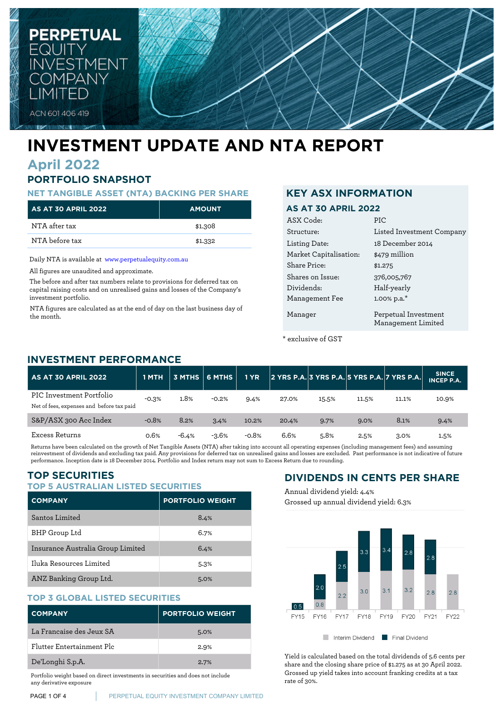

# **INVESTMENT UPDATE AND NTA REPORT**

# **April 2022**

# **PORTFOLIO SNAPSHOT**

### **NET TANGIBLE ASSET (NTA) BACKING PER SHARE**

| <b>AS AT 30 APRIL 2022</b> | <b>AMOUNT</b> |
|----------------------------|---------------|
| NTA after tax              | \$1.308       |
| NTA before tax             | \$1,332       |

Daily NTA is available at [www.perpetualequity.com.au](https://www.perpetualequity.com.au)

All figures are unaudited and approximate.

The before and after tax numbers relate to provisions for deferred tax on capital raising costs and on unrealised gains and losses of the Company's investment portfolio.

NTA figures are calculated as at the end of day on the last business day of the month.

## **KEY ASX INFORMATION**

## **AS AT 30 APRIL 2022**

| ASX Code:              | PIC                                        |
|------------------------|--------------------------------------------|
| Structure:             | Listed Investment Company                  |
| Listing Date:          | 18 December 2014                           |
| Market Capitalisation: | \$479 million                              |
| Share Price:           | \$1.275                                    |
| Shares on Issue:       | 376,005,767                                |
| Dividends:             | Half-yearly                                |
| Management Fee         | 1.00% p.a.*                                |
| Manager                | Perpetual Investment<br>Management Limited |

\* exclusive of GST

# **INVESTMENT PERFORMANCE**

| <b>AS AT 30 APRIL 2022</b>                                            | 1 MTH   |         |         | <b>1 YR</b> |       |       |       | 2 YRS P.A. 3 YRS P.A. 5 YRS P.A. 7 YRS P.A. | <b>SINCE</b><br><b>INCEP P.A.</b> |
|-----------------------------------------------------------------------|---------|---------|---------|-------------|-------|-------|-------|---------------------------------------------|-----------------------------------|
| PIC Investment Portfolio<br>Net of fees, expenses and before tax paid | $-0.3%$ | 1.8%    | $-0.2%$ | 9.4%        | 27.0% | 15.5% | 11.5% | 11.1%                                       | 10.9%                             |
| S&P/ASX 300 Acc Index                                                 | $-0.8%$ | 8.2%    | 3.4%    | 10.2%       | 20.4% | 9.7%  | 9.0%  | 8.1%                                        | 9.4%                              |
| Excess Returns                                                        | 0.6%    | $-6.4%$ | $-3.6%$ | $-0.8%$     | 6.6%  | 5.8%  | 2.5%  | 3.0%                                        | 1.5%                              |

Returns have been calculated on the growth of Net Tangible Assets (NTA) after taking into account all operating expenses (including management fees) and assuming reinvestment of dividends and excluding tax paid. Any provisions for deferred tax on unrealised gains and losses are excluded. Past performance is not indicative of future performance. Inception date is 18 December 2014. Portfolio and Index return may not sum to Excess Return due to rounding.

# **TOP SECURITIES**

### **TOP 5 AUSTRALIAN LISTED SECURITIES**

| <b>COMPANY</b>                    | <b>PORTFOLIO WEIGHT</b> |
|-----------------------------------|-------------------------|
| Santos Limited                    | 8.4%                    |
| BHP Group Ltd                     | 6.7%                    |
| Insurance Australia Group Limited | 6.4%                    |
| Iluka Resources Limited           | 5.3%                    |
| ANZ Banking Group Ltd.            | 5.0%                    |

## **TOP 3 GLOBAL LISTED SECURITIES**

| <b>COMPANY</b>            | <b>PORTFOLIO WEIGHT</b> |
|---------------------------|-------------------------|
| La Francaise des Jeux SA  | 5.0%                    |
| Flutter Entertainment Plc | 2.9%                    |
| De'Longhi S.p.A.          | 2.7%                    |

Portfolio weight based on direct investments in securities and does not include any derivative exposure

# **DIVIDENDS IN CENTS PER SHARE**

Annual dividend yield: 4.4% Grossed up annual dividend yield: 6.3%



Yield is calculated based on the total dividends of 5.6 cents per share and the closing share price of \$1.275 as at 30 April 2022. Grossed up yield takes into account franking credits at a tax rate of 30%.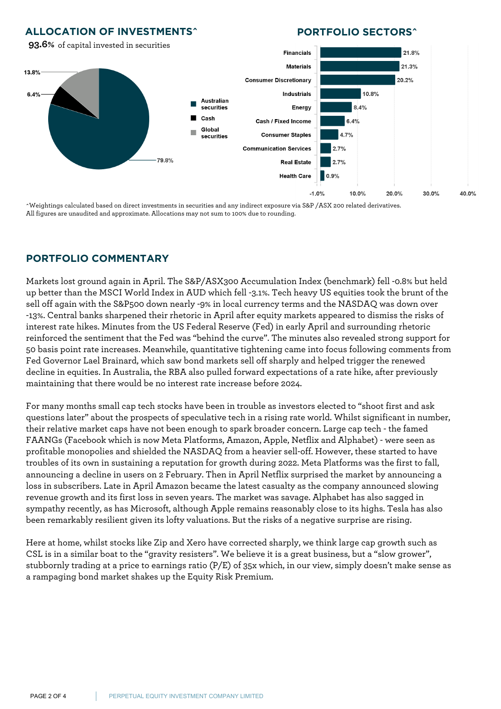## **ALLOCATION OF INVESTMENTS^**

any derivative exposure

## **PORTFOLIO SECTORS^**



^Weightings calculated based on direct investments in securities and any indirect exposure via S&P /ASX 200 related derivatives. All figures are unaudited and approximate. Allocations may not sum to 100% due to rounding.

# **PORTFOLIO COMMENTARY**

Markets lost ground again in April. The S&P/ASX300 Accumulation Index (benchmark) fell -0.8% but held up better than the MSCI World Index in AUD which fell -3.1%. Tech heavy US equities took the brunt of the sell off again with the S&P500 down nearly -9% in local currency terms and the NASDAQ was down over -13%. Central banks sharpened their rhetoric in April after equity markets appeared to dismiss the risks of interest rate hikes. Minutes from the US Federal Reserve (Fed) in early April and surrounding rhetoric reinforced the sentiment that the Fed was "behind the curve". The minutes also revealed strong support for 50 basis point rate increases. Meanwhile, quantitative tightening came into focus following comments from Fed Governor Lael Brainard, which saw bond markets sell off sharply and helped trigger the renewed decline in equities. In Australia, the RBA also pulled forward expectations of a rate hike, after previously maintaining that there would be no interest rate increase before 2024.

For many months small cap tech stocks have been in trouble as investors elected to "shoot first and ask questions later" about the prospects of speculative tech in a rising rate world. Whilst significant in number, their relative market caps have not been enough to spark broader concern. Large cap tech - the famed FAANGs (Facebook which is now Meta Platforms, Amazon, Apple, Netflix and Alphabet) - were seen as profitable monopolies and shielded the NASDAQ from a heavier sell-off. However, these started to have troubles of its own in sustaining a reputation for growth during 2022. Meta Platforms was the first to fall, announcing a decline in users on 2 February. Then in April Netflix surprised the market by announcing a loss in subscribers. Late in April Amazon became the latest casualty as the company announced slowing revenue growth and its first loss in seven years. The market was savage. Alphabet has also sagged in sympathy recently, as has Microsoft, although Apple remains reasonably close to its highs. Tesla has also been remarkably resilient given its lofty valuations. But the risks of a negative surprise are rising.

Here at home, whilst stocks like Zip and Xero have corrected sharply, we think large cap growth such as CSL is in a similar boat to the "gravity resisters". We believe it is a great business, but a "slow grower", stubbornly trading at a price to earnings ratio (P/E) of 35x which, in our view, simply doesn't make sense as a rampaging bond market shakes up the Equity Risk Premium.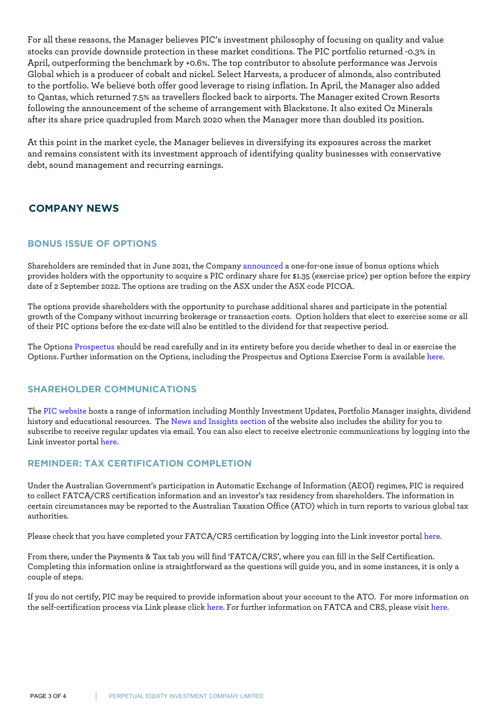For all these reasons, the Manager believes PIC's investment philosophy of focusing on quality and value stocks can provide downside protection in these market conditions. The PIC portfolio returned -0.3% in April, outperforming the benchmark by +0.6%. The top contributor to absolute performance was Jervois Global which is a producer of cobalt and nickel. Select Harvests, a producer of almonds, also contributed to the portfolio. We believe both offer good leverage to rising inflation. In April, the Manager also added to Qantas, which returned 7.5% as travellers flocked back to airports. The Manager exited Crown Resorts following the announcement of the scheme of arrangement with Blackstone. It also exited Oz Minerals after its share price quadrupled from March 2020 when the Manager more than doubled its position.

At this point in the market cycle, the Manager believes in diversifying its exposures across the market and remains consistent with its investment approach of identifying quality businesses with conservative debt, sound management and recurring earnings.

# **COMPANY NEWS** and assuming reinvestment of dividends and excluding tax paid. Any provisions for deferred tax paid. Any provisions for deferred tax paid. Any provisions for deferred tax on unrealised gains and assuming the

## **BONUS ISSUE OF OPTIONS**

Shareholders are reminded that in June 2021, the Company [announced](https://www.perpetualequity.com.au/shareholders/pic-options) a one-for-one issue of bonus options which provides holders with the opportunity to acquire a PIC ordinary share for \$1.35 (exercise price) per option before the expiry date of 2 September 2022. The options are trading on the ASX under the ASX code PICOA.

The options provide shareholders with the opportunity to purchase additional shares and participate in the potential growth of the Company without incurring brokerage or transaction costs. Option holders that elect to exercise some or all of their PIC options before the ex-date will also be entitled to the dividend for that respective period.

The Options [Prospectus](https://www.perpetualequity.com.au/~/media/perpetualpeic/pdf/peic_prospectus_2021.ashx?la=en) should be read carefully and in its entirety before you decide whether to deal in or exercise the Options. Further information on the Options, including the Prospectus and Options Exercise Form is available [here.](https://www.perpetualequity.com.au/shareholders/pic-options)

## **SHAREHOLDER COMMUNICATIONS**

The [PIC website](https://www.perpetualequity.com.au) hosts a range of information including Monthly Investment Updates, Portfolio Manager insights, dividend history and educational resources. The [News and Insights section](https://www.perpetualequity.com.au/news-and-insights) of the website also includes the ability for you to subscribe to receive regular updates via email. You can also elect to receive electronic communications by logging into the Link investor portal [here.](https://investorcentre.linkmarketservices.com.au/Login/Login)

## **REMINDER: TAX CERTIFICATION COMPLETION**

Under the Australian Government's participation in Automatic Exchange of Information (AEOI) regimes, PIC is required to collect FATCA/CRS certification information and an investor's tax residency from shareholders. The information in certain circumstances may be reported to the Australian Taxation Office (ATO) which in turn reports to various global tax authorities.

Please check that you have completed your FATCA/CRS certification by logging into the Link investor portal [here.](https://investorcentre.linkmarketservices.com.au/Login/Login)

From there, under the Payments & Tax tab you will find 'FATCA/CRS', where you can fill in the Self Certification. Completing this information online is straightforward as the questions will guide you, and in some instances, it is only a couple of steps.

If you do not certify, PIC may be required to provide information about your account to the ATO. For more information on the self-certification process via Link please click [here.](https://www.linkmarketservices.com.au/corporate/resources/faq.html#fatca) For further information on FATCA and CRS, please visit [here.](http://www.ato.gov.au)